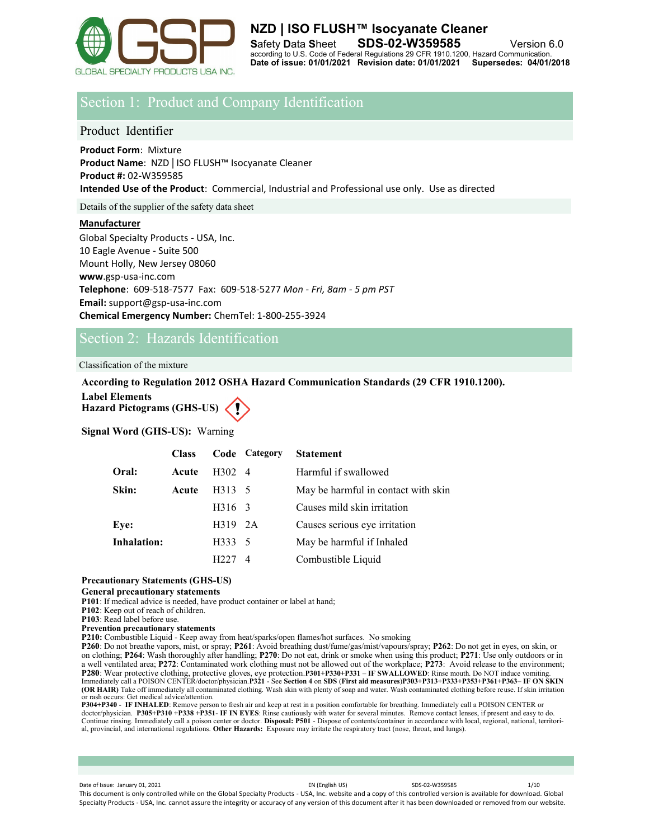

# Section 1: Product and Company Identification

# Product Identifier

**Product Form**: Mixture **Product Name**: NZD | ISO FLUSH™ Isocyanate Cleaner **Product #:** 02-W359585 **Intended Use of the Product**: Commercial, Industrial and Professional use only. Use as directed

Details of the supplier of the safety data sheet

## **Manufacturer**

Global Specialty Products - USA, Inc. 10 Eagle Avenue - Suite 500 Mount Holly, New Jersey 08060 **www**.gsp-usa-inc.com **Telephone**: 609-518-7577 Fax: 609-518-5277 *Mon - Fri, 8am - 5 pm PST* **Email:** support@gsp-usa-inc.com **Chemical Emergency Number:** ChemTel: 1-800-255-3924

# Section 2: Hazards Identification

Classification of the mixture

# **According to Regulation 2012 OSHA Hazard Communication Standards (29 CFR 1910.1200).**

**Label Elements**

**Hazard Pictograms (GHS-US)**

**Signal Word (GHS-US):** Warning

|                    | <b>Class</b> |                | Code Category | <b>Statement</b>                    |
|--------------------|--------------|----------------|---------------|-------------------------------------|
| Oral:              | Acute        | $H302 \quad 4$ |               | Harmful if swallowed                |
| Skin:              | Acute        | H313 5         |               | May be harmful in contact with skin |
|                    |              | H316 3         |               | Causes mild skin irritation         |
| Eye:               |              | H319 2A        |               | Causes serious eye irritation       |
| <b>Inhalation:</b> |              | H333 5         |               | May be harmful if Inhaled           |
|                    |              | H227           | 4             | Combustible Liquid                  |

# **Precautionary Statements (GHS-US)**

**General precautionary statements**

**P101**: If medical advice is needed, have product container or label at hand;

**P102**: Keep out of reach of children.

**P103**: Read label before use.

**Prevention precautionary statements**

**P210:** Combustible Liquid - Keep away from heat/sparks/open flames/hot surfaces. No smoking

**P260**: Do not breathe vapors, mist, or spray; **P261**: Avoid breathing dust/fume/gas/mist/vapours/spray; **P262**: Do not get in eyes, on skin, or on clothing; **P264**: Wash thoroughly after handling; **P270**: Do not eat, drink or smoke when using this product; **P271**: Use only outdoors or in a well ventilated area; **P272**: Contaminated work clothing must not be allowed out of the workplace; **P273**: Avoid release to the environment; P280: Wear protective clothing, protective gloves, eye protection.P301+P330+P331 – IF SWALLOWED: Rinse mouth. Do NOT induce vomiting.<br>Immediately call a POISON CENTER/doctor/physician.P321 - See Section 4 on SDS (First aid **(OR HAIR)** Take off immediately all contaminated clothing. Wash skin with plenty of soap and water. Wash contaminated clothing before reuse. If skin irritation or rash occurs: Get medical advice/attention.

P304+P340 - IF INHALED: Remove person to fresh air and keep at rest in a position comfortable for breathing. Immediately call a POISON CENTER or<br>doctor/physician. P305+P310 +P338 +P351- IF IN EYES: Rinse cautiously with wa Continue rinsing. Immediately call a poison center or doctor. **Disposal: P501** - Dispose of contents/container in accordance with local, regional, national, territorial, provincial, and international regulations. **Other Hazards:** Exposure may irritate the respiratory tract (nose, throat, and lungs).

Date of Issue: January 01, 2021 **EXECUTE:** CONSULTER SUBSERVIEW SDS-02-W359585 1/10 This document is only controlled while on the Global Specialty Products - USA, Inc. website and a copy of this controlled version is available for download. Global Specialty Products - USA, Inc. cannot assure the integrity or accuracy of any version of this document after it has been downloaded or removed from our website.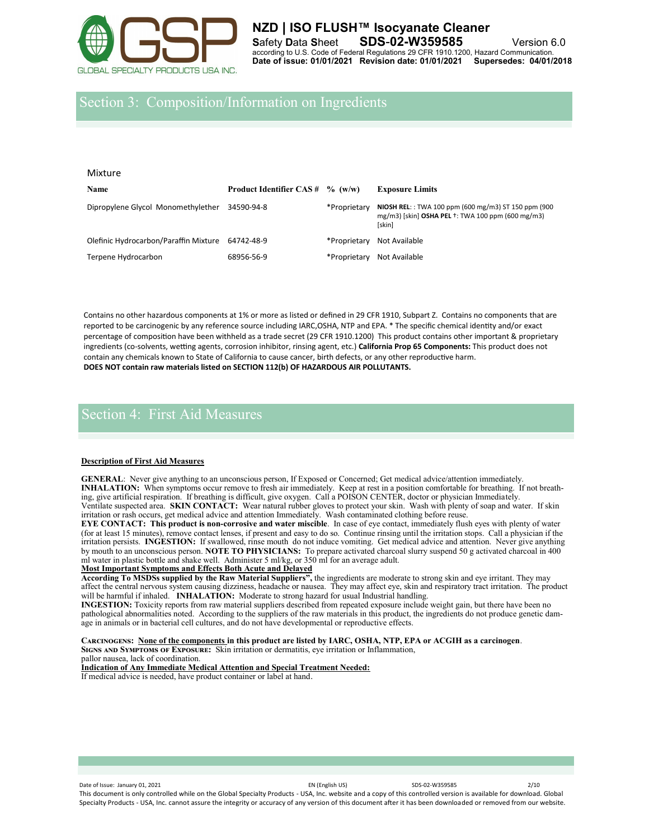

# Section 3: Composition/Information on Ingredients

| Mixture                               |                                           |              |                                                                                                                                       |  |  |
|---------------------------------------|-------------------------------------------|--------------|---------------------------------------------------------------------------------------------------------------------------------------|--|--|
| <b>Name</b>                           | <b>Product Identifier CAS #</b> $% (w/w)$ |              | <b>Exposure Limits</b>                                                                                                                |  |  |
| Dipropylene Glycol Monomethylether    | 34590-94-8                                | *Proprietary | NIOSH REL:: TWA 100 ppm (600 mg/m3) ST 150 ppm (900<br>mg/m3) [skin] OSHA PEL <sup>+</sup> : TWA 100 ppm (600 mg/m3)<br><b>[skin]</b> |  |  |
| Olefinic Hydrocarbon/Paraffin Mixture | 64742-48-9                                | *Proprietary | Not Available                                                                                                                         |  |  |
| Terpene Hydrocarbon                   | 68956-56-9                                | *Proprietary | Not Available                                                                                                                         |  |  |

Contains no other hazardous components at 1% or more as listed or defined in 29 CFR 1910, Subpart Z. Contains no components that are reported to be carcinogenic by any reference source including IARC,OSHA, NTP and EPA. \* The specific chemical identity and/or exact percentage of composition have been withheld as a trade secret (29 CFR 1910.1200) This product contains other important & proprietary ingredients (co-solvents, wetting agents, corrosion inhibitor, rinsing agent, etc.) **California Prop 65 Components:** This product does not contain any chemicals known to State of California to cause cancer, birth defects, or any other reproductive harm. **DOES NOT contain raw materials listed on SECTION 112(b) OF HAZARDOUS AIR POLLUTANTS.**

# Section 4: First Aid Measures

## **Description of First Aid Measures**

**GENERAL**: Never give anything to an unconscious person, If Exposed or Concerned; Get medical advice/attention immediately. **INHALATION:** When symptoms occur remove to fresh air immediately. Keep at rest in a position comfortable for breathing. If not breathing, give artificial respiration. If breathing is difficult, give oxygen. Call a POISON CENTER, doctor or physician Immediately. Ventilate suspected area. **SKIN CONTACT:** Wear natural rubber gloves to protect your skin. Wash with plenty of soap and water. If skin irritation or rash occurs, get medical advice and attention Immediately. Wash contaminated clothing before reuse.

**EYE CONTACT: This product is non-corrosive and water miscible**. In case of eye contact, immediately flush eyes with plenty of water (for at least 15 minutes), remove contact lenses, if present and easy to do so. Continue rinsing until the irritation stops. Call a physician if the irritation persists. **INGESTION:** If swallowed, rinse mouth do not induce vomiting. Get medical advice and attention. Never give anything by mouth to an unconscious person. **NOTE TO PHYSICIANS:** To prepare activated charcoal slurry suspend 50 g activated charcoal in 400 ml water in plastic bottle and shake well. Administer 5 ml/kg, or 350 ml for an average adult.

#### **Most Important Symptoms and Effects Both Acute and Delayed**

**According To MSDSs supplied by the Raw Material Suppliers",** the ingredients are moderate to strong skin and eye irritant. They may affect the central nervous system causing dizziness, headache or nausea. They may affect eye, skin and respiratory tract irritation. The product will be harmful if inhaled. **INHALATION:** Moderate to strong hazard for usual Industrial handling.

**INGESTION:** Toxicity reports from raw material suppliers described from repeated exposure include weight gain, but there have been no pathological abnormalities noted. According to the suppliers of the raw materials in this product, the ingredients do not produce genetic damage in animals or in bacterial cell cultures, and do not have developmental or reproductive effects.

**Carcinogens: None of the components in this product are listed by IARC, OSHA, NTP, EPA or ACGIH as a carcinogen**. **Signs and Symptoms of Exposure:** Skin irritation or dermatitis, eye irritation or Inflammation, pallor nausea, lack of coordination.

**Indication of Any Immediate Medical Attention and Special Treatment Needed:**  If medical advice is needed, have product container or label at hand.

Date of Issue: January 01, 2021 2/10 and the US of Level of Level Space Company of Level Space Company of Level Space Company of Level Space Company of Level Space Company of Level Space Company of Level Space Company of L This document is only controlled while on the Global Specialty Products - USA, Inc. website and a copy of this controlled version is available for download. Global Specialty Products - USA, Inc. cannot assure the integrity or accuracy of any version of this document after it has been downloaded or removed from our website.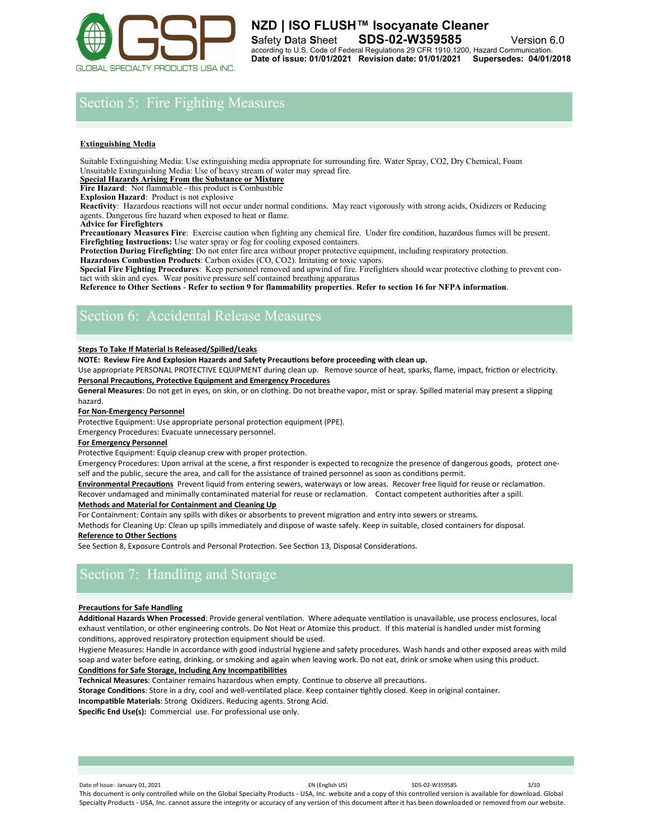

# Section 5: Fire Fighting Measures

## **Extinguishing Media**

Suitable Extinguishing Media: Use extinguishing media appropriate for surrounding fire. Water Spray, CO2, Dry Chemical, Foam Unsuitable Extinguishing Media: Use of heavy stream of water may spread fire.

**Special Hazards Arising From the Substance or Mixture**

**Fire Hazard**: Not flammable - this product is Combustible

**Explosion Hazard**: Product is not explosive

**Reactivity**: Hazardous reactions will not occur under normal conditions. May react vigorously with strong acids, Oxidizers or Reducing agents. Dangerous fire hazard when exposed to heat or flame.

**Advice for Firefighters** 

**Precautionary Measures Fire**: Exercise caution when fighting any chemical fire. Under fire condition, hazardous fumes will be present. **Firefighting Instructions:** Use water spray or fog for cooling exposed containers.

**Protection During Firefighting**: Do not enter fire area without proper protective equipment, including respiratory protection.

**Hazardous Combustion Products**: Carbon oxides (CO, CO2). Irritating or toxic vapors. **Special Fire Fighting Procedures**: Keep personnel removed and upwind of fire. Firefighters should wear protective clothing to prevent contact with skin and eyes. Wear positive pressure self contained breathing apparatus

**Reference to Other Sections** - **Refer to section 9 for flammability properties**. **Refer to section 16 for NFPA information**.

# Section 6: Accidental Release Measures

### **Steps To Take If Material Is Released/Spilled/Leaks**

**NOTE: Review Fire And Explosion Hazards and Safety Precautions before proceeding with clean up.** 

Use appropriate PERSONAL PROTECTIVE EQUIPMENT during clean up. Remove source of heat, sparks, flame, impact, friction or electricity. **Personal Precautions, Protective Equipment and Emergency Procedures** 

**General Measures**: Do not get in eyes, on skin, or on clothing. Do not breathe vapor, mist or spray. Spilled material may present a slipping hazard.

## **For Non‐Emergency Personnel**

Protective Equipment: Use appropriate personal protection equipment (PPE).

Emergency Procedures: Evacuate unnecessary personnel.

## **For Emergency Personnel**

Protective Equipment: Equip cleanup crew with proper protection.

Emergency Procedures: Upon arrival at the scene, a first responder is expected to recognize the presence of dangerous goods, protect oneself and the public, secure the area, and call for the assistance of trained personnel as soon as conditions permit.

**Environmental Precautions** Prevent liquid from entering sewers, waterways or low areas. Recover free liquid for reuse or reclamation.

Recover undamaged and minimally contaminated material for reuse or reclamation. Contact competent authorities after a spill. **Methods and Material for Containment and Cleaning Up** 

For Containment: Contain any spills with dikes or absorbents to prevent migration and entry into sewers or streams.

Methods for Cleaning Up: Clean up spills immediately and dispose of waste safely. Keep in suitable, closed containers for disposal. **Reference to Other Sections** 

See Section 8, Exposure Controls and Personal Protection. See Section 13, Disposal Considerations.

# Section 7: Handling and Storage

### **Precautions for Safe Handling**

**Additional Hazards When Processed**: Provide general ventilation. Where adequate ventilation is unavailable, use process enclosures, local exhaust ventilation, or other engineering controls. Do Not Heat or Atomize this product. If this material is handled under mist forming conditions, approved respiratory protection equipment should be used.

Hygiene Measures: Handle in accordance with good industrial hygiene and safety procedures. Wash hands and other exposed areas with mild soap and water before eating, drinking, or smoking and again when leaving work. Do not eat, drink or smoke when using this product. **Conditions for Safe Storage, Including Any Incompatibilities** 

**Technical Measures**: Container remains hazardous when empty. Continue to observe all precautions.

**Storage Conditions**: Store in a dry, cool and well‐ventilated place. Keep container tightly closed. Keep in original container.

**Incompatible Materials**: Strong Oxidizers. Reducing agents. Strong Acid.

**Specific End Use(s):** Commercial use. For professional use only.

Date of Issue: January 01, 2021 2012 12:00 13/10 EN (English US) SDS-02-W359585 3/10 This document is only controlled while on the Global Specialty Products - USA, Inc. website and a copy of this controlled version is available for download. Global Specialty Products - USA, Inc. cannot assure the integrity or accuracy of any version of this document after it has been downloaded or removed from our website.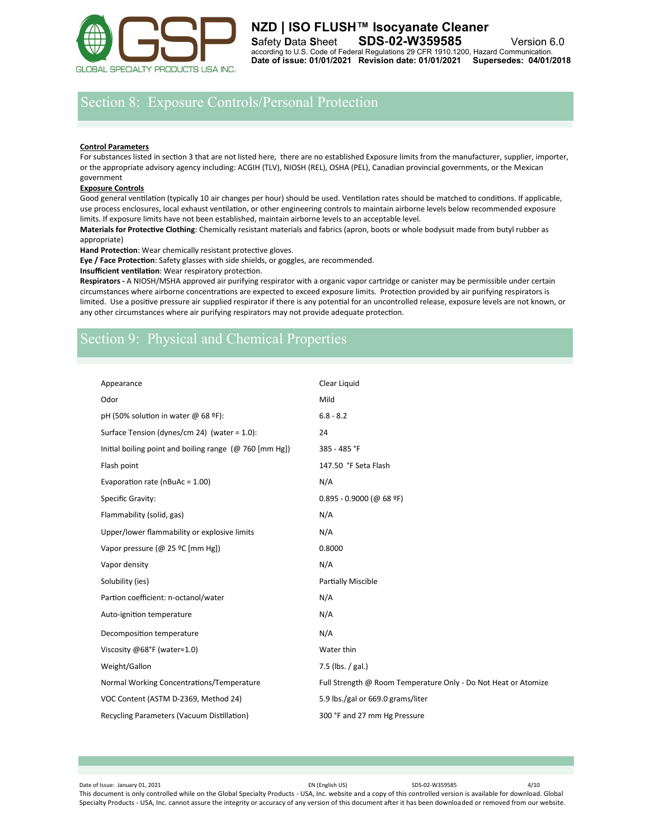

# Section 8: Exposure Controls/Personal Protection

#### **Control Parameters**

For substances listed in section 3 that are not listed here, there are no established Exposure limits from the manufacturer, supplier, importer, or the appropriate advisory agency including: ACGIH (TLV), NIOSH (REL), OSHA (PEL), Canadian provincial governments, or the Mexican government

#### **Exposure Controls**

Good general ventilation (typically 10 air changes per hour) should be used. Ventilation rates should be matched to conditions. If applicable, use process enclosures, local exhaust ventilation, or other engineering controls to maintain airborne levels below recommended exposure limits. If exposure limits have not been established, maintain airborne levels to an acceptable level.

**Materials for Protective Clothing**: Chemically resistant materials and fabrics (apron, boots or whole bodysuit made from butyl rubber as appropriate)

**Hand Protection**: Wear chemically resistant protective gloves.

**Eye / Face Protection**: Safety glasses with side shields, or goggles, are recommended.

**Insufficient ventilation**: Wear respiratory protection.

**Respirators -** A NIOSH/MSHA approved air purifying respirator with a organic vapor cartridge or canister may be permissible under certain circumstances where airborne concentrations are expected to exceed exposure limits. Protection provided by air purifying respirators is limited. Use a positive pressure air supplied respirator if there is any potential for an uncontrolled release, exposure levels are not known, or any other circumstances where air purifying respirators may not provide adequate protection.

# Section 9: Physical and Chemical Properties

| Appearance                                              | Clear Liquid                                                   |
|---------------------------------------------------------|----------------------------------------------------------------|
| Odor                                                    | Mild                                                           |
| pH (50% solution in water @ 68 °F):                     | $6.8 - 8.2$                                                    |
| Surface Tension (dynes/cm 24) (water = 1.0):            | 24                                                             |
| Initial boiling point and boiling range (@ 760 [mm Hg]) | 385 - 485 °F                                                   |
| Flash point                                             | 147.50 °F Seta Flash                                           |
| Evaporation rate ( $nBuAc = 1.00$ )                     | N/A                                                            |
| Specific Gravity:                                       | $0.895 - 0.9000$ (@ 68 ºF)                                     |
| Flammability (solid, gas)                               | N/A                                                            |
| Upper/lower flammability or explosive limits            | N/A                                                            |
| Vapor pressure (@ 25 °C [mm Hg])                        | 0.8000                                                         |
| Vapor density                                           | N/A                                                            |
| Solubility (ies)                                        | <b>Partially Miscible</b>                                      |
| Partion coefficient: n-octanol/water                    | N/A                                                            |
| Auto-ignition temperature                               | N/A                                                            |
| Decomposition temperature                               | N/A                                                            |
| Viscosity @68°F (water=1.0)                             | Water thin                                                     |
| Weight/Gallon                                           | 7.5 (lbs. / gal.)                                              |
| Normal Working Concentrations/Temperature               | Full Strength @ Room Temperature Only - Do Not Heat or Atomize |
| VOC Content (ASTM D-2369, Method 24)                    | 5.9 lbs./gal or 669.0 grams/liter                              |
| Recycling Parameters (Vacuum Distillation)              | 300 °F and 27 mm Hg Pressure                                   |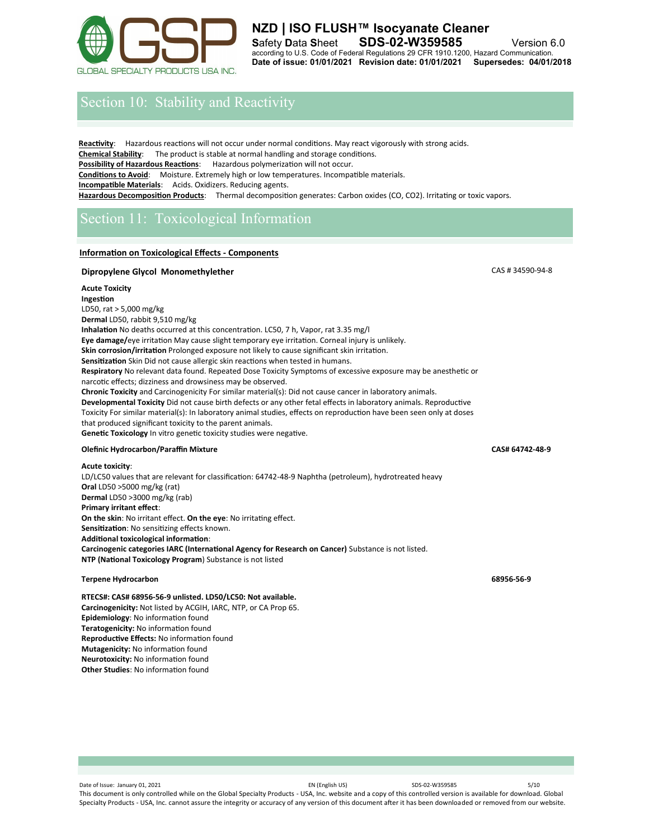

# **NZD | ISO FLUSH™ Isocyanate Cleaner S**afety **D**ata **S**heet **SDS**-**02-W359585** Version 6.0 according to U.S. Code of Federal Regulations 29 CFR 1910.1200, Hazard Communication. **Date of issue: 01/01/2021 Revision date: 01/01/2021 Supersedes: 04/01/2018**

# Section 10: Stability and Reactivity

**Reactivity**: Hazardous reactions will not occur under normal conditions. May react vigorously with strong acids. **Chemical Stability**: The product is stable at normal handling and storage conditions. **Possibility of Hazardous Reactions:** Hazardous polymerization will not occur. **Conditions to Avoid**: Moisture. Extremely high or low temperatures. Incompatible materials. **Incompatible Materials**: Acids. Oxidizers. Reducing agents. **Hazardous Decomposition Products**: Thermal decomposition generates: Carbon oxides (CO, CO2). Irritating or toxic vapors.

# Section 11: Toxicological Information

# **Information on Toxicological Effects - Components**

## **Dipropylene Glycol Monomethylether CAS # 34590-94-8**

## **Acute Toxicity**

**Ingestion**  LD50, rat > 5,000 mg/kg **Dermal** LD50, rabbit 9,510 mg/kg **Inhalation** No deaths occurred at this concentration. LC50, 7 h, Vapor, rat 3.35 mg/l **Eye damage/**eye irritation May cause slight temporary eye irritation. Corneal injury is unlikely. **Skin corrosion/irritation** Prolonged exposure not likely to cause significant skin irritation. **Sensitization** Skin Did not cause allergic skin reactions when tested in humans. **Respiratory** No relevant data found. Repeated Dose Toxicity Symptoms of excessive exposure may be anesthetic or narcotic effects; dizziness and drowsiness may be observed. **Chronic Toxicity** and Carcinogenicity For similar material(s): Did not cause cancer in laboratory animals. **Developmental Toxicity** Did not cause birth defects or any other fetal effects in laboratory animals. Reproductive Toxicity For similar material(s): In laboratory animal studies, effects on reproduction have been seen only at doses that produced significant toxicity to the parent animals. **Genetic Toxicology** In vitro genetic toxicity studies were negative.

### **Olefinic Hydrocarbon/Paraffin Mixture CAS# 64742-48-9**

#### **Acute toxicity**:

LD/LC50 values that are relevant for classification: 64742-48-9 Naphtha (petroleum), hydrotreated heavy **Oral** LD50 >5000 mg/kg (rat) **Dermal** LD50 >3000 mg/kg (rab) **Primary irritant effect**: **On the skin**: No irritant effect. **On the eye**: No irritating effect. **Sensitization**: No sensitizing effects known. **Additional toxicological information**: **Carcinogenic categories IARC (International Agency for Research on Cancer)** Substance is not listed. **NTP (National Toxicology Program**) Substance is not listed

## **Terpene Hydrocarbon 68956-56-9**

**RTECS#: CAS# 68956-56-9 unlisted. LD50/LC50: Not available. Carcinogenicity:** Not listed by ACGIH, IARC, NTP, or CA Prop 65. **Epidemiology**: No information found **Teratogenicity:** No information found **Reproductive Effects:** No information found **Mutagenicity:** No information found **Neurotoxicity:** No information found **Other Studies**: No information found

Date of Issue: January 01, 2021 EN (English US) SDS-02-W359585 5/10 This document is only controlled while on the Global Specialty Products - USA, Inc. website and a copy of this controlled version is available for download. Global Specialty Products - USA, Inc. cannot assure the integrity or accuracy of any version of this document after it has been downloaded or removed from our website.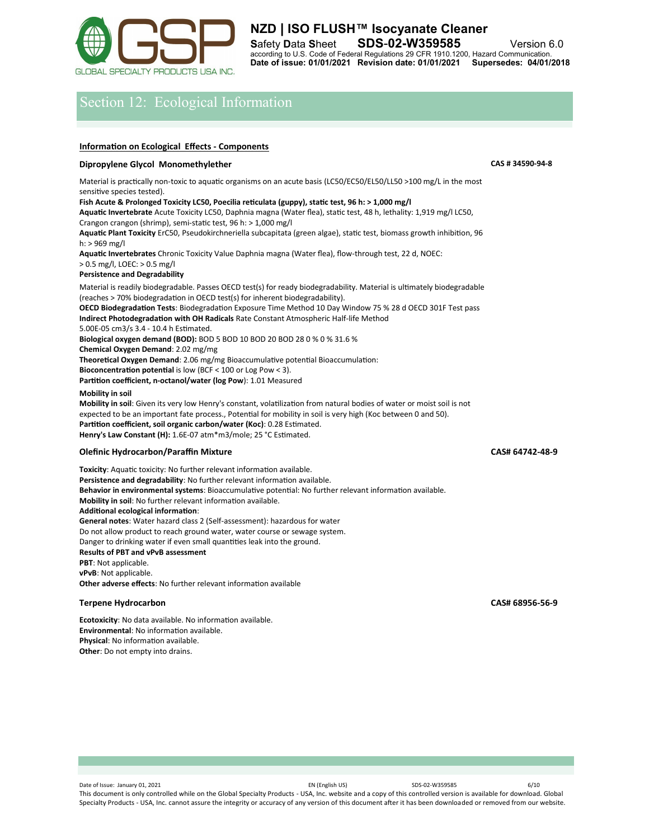

# Section 12: Ecological Information

## **Information on Ecological Effects - Components**

# **Dipropylene Glycol Monomethylether CAS # 34590-94-8**

Material is practically non-toxic to aquatic organisms on an acute basis (LC50/EC50/EL50/LL50 >100 mg/L in the most sensitive species tested).

# **Fish Acute & Prolonged Toxicity LC50, Poecilia reticulata (guppy), static test, 96 h: > 1,000 mg/l**

**Aquatic Invertebrate** Acute Toxicity LC50, Daphnia magna (Water flea), static test, 48 h, lethality: 1,919 mg/l LC50, Crangon crangon (shrimp), semi-static test, 96 h: > 1,000 mg/l

**Aquatic Plant Toxicity** ErC50, Pseudokirchneriella subcapitata (green algae), static test, biomass growth inhibition, 96 h: > 969 mg/l

**Aquatic Invertebrates** Chronic Toxicity Value Daphnia magna (Water flea), flow-through test, 22 d, NOEC: > 0.5 mg/l, LOEC: > 0.5 mg/l

## **Persistence and Degradability**

Material is readily biodegradable. Passes OECD test(s) for ready biodegradability. Material is ultimately biodegradable (reaches > 70% biodegradation in OECD test(s) for inherent biodegradability). **OECD Biodegradation Tests**: Biodegradation Exposure Time Method 10 Day Window 75 % 28 d OECD 301F Test pass **Indirect Photodegradation with OH Radicals** Rate Constant Atmospheric Half-life Method 5.00E-05 cm3/s 3.4 - 10.4 h Estimated. **Biological oxygen demand (BOD):** BOD 5 BOD 10 BOD 20 BOD 28 0 % 0 % 31.6 % **Chemical Oxygen Demand**: 2.02 mg/mg **Theoretical Oxygen Demand**: 2.06 mg/mg Bioaccumulative potential Bioaccumulation: **Bioconcentration potential** is low (BCF < 100 or Log Pow < 3). **Partition coefficient, n-octanol/water (log Pow**): 1.01 Measured **Mobility in soil**

**Mobility in soil**: Given its very low Henry's constant, volatilization from natural bodies of water or moist soil is not expected to be an important fate process., Potential for mobility in soil is very high (Koc between 0 and 50). **Partition coefficient, soil organic carbon/water (Koc)**: 0.28 Estimated. **Henry's Law Constant (H):** 1.6E-07 atm\*m3/mole; 25 °C Estimated.

### **Olefinic Hydrocarbon/Paraffin Mixture CAS# 64742-48-9**

**Toxicity**: Aquatic toxicity: No further relevant information available. **Persistence and degradability**: No further relevant information available. **Behavior in environmental systems**: Bioaccumulative potential: No further relevant information available. **Mobility in soil**: No further relevant information available. **Additional ecological information**: **General notes**: Water hazard class 2 (Self-assessment): hazardous for water Do not allow product to reach ground water, water course or sewage system. Danger to drinking water if even small quantities leak into the ground. **Results of PBT and vPvB assessment PBT**: Not applicable. **vPvB**: Not applicable. **Other adverse effects**: No further relevant information available

### **Terpene Hydrocarbon CAS# 68956-56-9**

**Ecotoxicity**: No data available. No information available. **Environmental**: No information available. **Physical**: No information available. **Other**: Do not empty into drains.

Date of Issue: January 01, 2021 **EN (English US)** EN (English US) SDS-02-W359585 6/10 This document is only controlled while on the Global Specialty Products - USA, Inc. website and a copy of this controlled version is available for download. Global Specialty Products - USA, Inc. cannot assure the integrity or accuracy of any version of this document after it has been downloaded or removed from our website.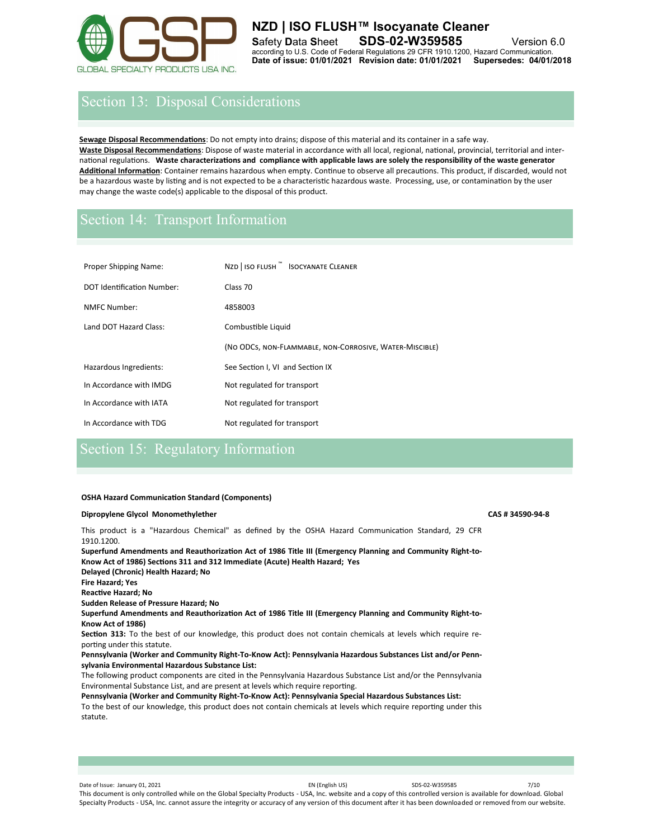

# **NZD | ISO FLUSH™ Isocyanate Cleaner S**afety **D**ata **S**heet **SDS**-**02-W359585** Version 6.0 according to U.S. Code of Federal Regulations 29 CFR 1910.1200, Hazard Communication. **Date of issue: 01/01/2021 Revision date: 01/01/2021 Supersedes: 04/01/2018**

# Section 13: Disposal Considerations

**Sewage Disposal Recommendations**: Do not empty into drains; dispose of this material and its container in a safe way. **Waste Disposal Recommendations**: Dispose of waste material in accordance with all local, regional, national, provincial, territorial and international regulations. **Waste characterizations and compliance with applicable laws are solely the responsibility of the waste generator Additional Information**: Container remains hazardous when empty. Continue to observe all precautions. This product, if discarded, would not be a hazardous waste by listing and is not expected to be a characteristic hazardous waste. Processing, use, or contamination by the user may change the waste code(s) applicable to the disposal of this product.

# Section 14: Transport Information

| <b>Proper Shipping Name:</b>      | NZD   ISO FLUSH ™ ISOCYANATE CLEANER                    |  |  |  |
|-----------------------------------|---------------------------------------------------------|--|--|--|
| <b>DOT Identification Number:</b> | Class 70                                                |  |  |  |
| NMFC Number:                      | 4858003                                                 |  |  |  |
| Land DOT Hazard Class:            | Combustible Liquid                                      |  |  |  |
|                                   | (NO ODCS, NON-FLAMMABLE, NON-CORROSIVE, WATER-MISCIBLE) |  |  |  |
| Hazardous Ingredients:            | See Section I, VI and Section IX                        |  |  |  |
| In Accordance with IMDG           | Not regulated for transport                             |  |  |  |
| In Accordance with IATA           | Not regulated for transport                             |  |  |  |
| In Accordance with TDG            | Not regulated for transport                             |  |  |  |

# Section 15: Regulatory Information

### **OSHA Hazard Communication Standard (Components)**

## **Dipropylene Glycol Monomethylether CAS # 34590-94-8**

This product is a "Hazardous Chemical" as defined by the OSHA Hazard Communication Standard, 29 CFR 1910.1200.

**Superfund Amendments and Reauthorization Act of 1986 Title III (Emergency Planning and Community Right-to-Know Act of 1986) Sections 311 and 312 Immediate (Acute) Health Hazard; Yes** 

**Delayed (Chronic) Health Hazard; No Fire Hazard; Yes** 

**Reactive Hazard; No** 

**Sudden Release of Pressure Hazard; No** 

**Superfund Amendments and Reauthorization Act of 1986 Title III (Emergency Planning and Community Right-to-Know Act of 1986)** 

**Section 313:** To the best of our knowledge, this product does not contain chemicals at levels which require reporting under this statute.

**Pennsylvania (Worker and Community Right-To-Know Act): Pennsylvania Hazardous Substances List and/or Pennsylvania Environmental Hazardous Substance List:** 

The following product components are cited in the Pennsylvania Hazardous Substance List and/or the Pennsylvania Environmental Substance List, and are present at levels which require reporting.

**Pennsylvania (Worker and Community Right-To-Know Act): Pennsylvania Special Hazardous Substances List:**  To the best of our knowledge, this product does not contain chemicals at levels which require reporting under this statute.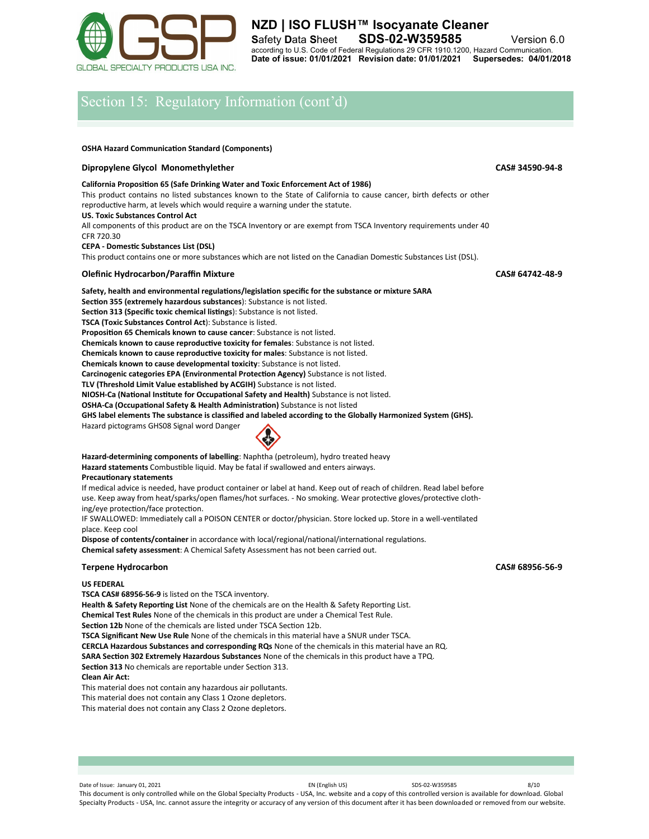

# Section 15: Regulatory Information (cont'd)

#### **OSHA Hazard Communication Standard (Components)**

## **Dipropylene Glycol Monomethylether CAS# 34590-94-8** CAS# 34590-94-8

### **California Proposition 65 (Safe Drinking Water and Toxic Enforcement Act of 1986)**  This product contains no listed substances known to the State of California to cause cancer, birth defects or other

reproductive harm, at levels which would require a warning under the statute.

#### **US. Toxic Substances Control Act**

All components of this product are on the TSCA Inventory or are exempt from TSCA Inventory requirements under 40 CFR 720.30

#### **CEPA - Domestic Substances List (DSL)**

This product contains one or more substances which are not listed on the Canadian Domestic Substances List (DSL).

# **Olefinic Hydrocarbon/Paraffin Mixture CAS# 64742-48-9**

**Safety, health and environmental regulations/legislation specific for the substance or mixture SARA Section 355 (extremely hazardous substances**): Substance is not listed. **Section 313 (Specific toxic chemical listings**): Substance is not listed. **TSCA (Toxic Substances Control Act**): Substance is listed. **Proposition 65 Chemicals known to cause cancer**: Substance is not listed. **Chemicals known to cause reproductive toxicity for females**: Substance is not listed. **Chemicals known to cause reproductive toxicity for males**: Substance is not listed. **Chemicals known to cause developmental toxicity**: Substance is not listed. **Carcinogenic categories EPA (Environmental Protection Agency)** Substance is not listed. **TLV (Threshold Limit Value established by ACGIH)** Substance is not listed. **NIOSH-Ca (National Institute for Occupational Safety and Health)** Substance is not listed. **OSHA-Ca (Occupational Safety & Health Administration)** Substance is not listed **GHS label elements The substance is classified and labeled according to the Globally Harmonized System (GHS).** Hazard pictograms GHS08 Signal word Danger

# **Hazard-determining components of labelling**: Naphtha (petroleum), hydro treated heavy

**Hazard statements** Combustible liquid. May be fatal if swallowed and enters airways.

#### **Precautionary statements**

If medical advice is needed, have product container or label at hand. Keep out of reach of children. Read label before use. Keep away from heat/sparks/open flames/hot surfaces. - No smoking. Wear protective gloves/protective clothing/eye protection/face protection.

IF SWALLOWED: Immediately call a POISON CENTER or doctor/physician. Store locked up. Store in a well-ventilated place. Keep cool

**Dispose of contents/container** in accordance with local/regional/national/international regulations. **Chemical safety assessment**: A Chemical Safety Assessment has not been carried out.

#### **Terpene Hydrocarbon CAS# 68956-56-9**

### **US FEDERAL**

**TSCA CAS# 68956-56-9** is listed on the TSCA inventory.

**Health & Safety Reporting List** None of the chemicals are on the Health & Safety Reporting List.

**Chemical Test Rules** None of the chemicals in this product are under a Chemical Test Rule.

**Section 12b** None of the chemicals are listed under TSCA Section 12b.

**TSCA Significant New Use Rule** None of the chemicals in this material have a SNUR under TSCA.

**CERCLA Hazardous Substances and corresponding RQs** None of the chemicals in this material have an RQ.

**SARA Section 302 Extremely Hazardous Substances** None of the chemicals in this product have a TPQ.

**Section 313** No chemicals are reportable under Section 313.

# **Clean Air Act:**

This material does not contain any hazardous air pollutants.

This material does not contain any Class 1 Ozone depletors.

This material does not contain any Class 2 Ozone depletors.

Date of Issue: January 01, 2021 2011 2012 11:00:00 EN (English US) SDS-02-W359585 8/10 This document is only controlled while on the Global Specialty Products - USA, Inc. website and a copy of this controlled version is available for download. Global Specialty Products - USA, Inc. cannot assure the integrity or accuracy of any version of this document after it has been downloaded or removed from our website.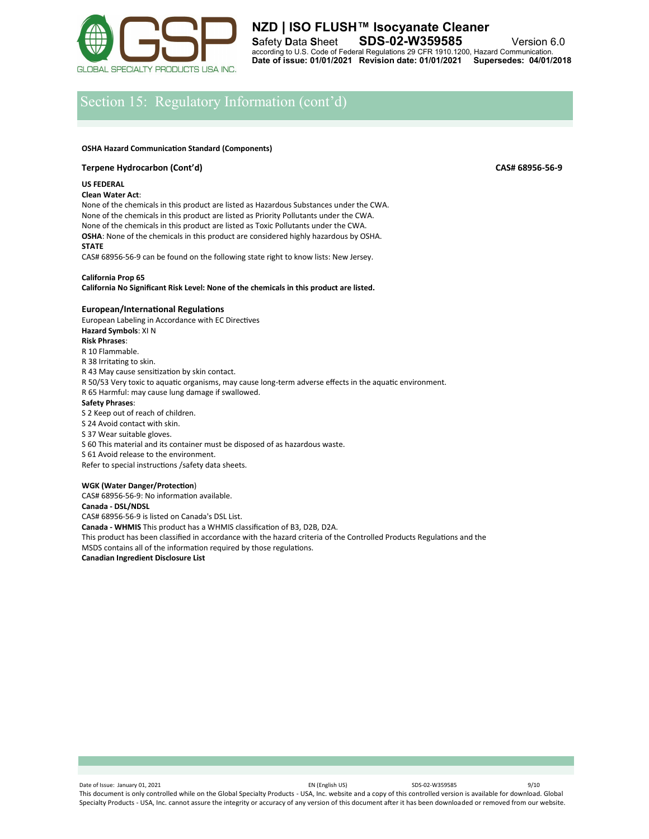

**NZD | ISO FLUSH™ Isocyanate Cleaner S**afety **D**ata **S**heet **SDS**-**02-W359585** Version 6.0 according to U.S. Code of Federal Regulations 29 CFR 1910.1200, Hazard Communication. **Date of issue: 01/01/2021 Revision date: 01/01/2021 Supersedes: 04/01/2018**

# Section 15: Regulatory Information (cont'd)

#### **OSHA Hazard Communication Standard (Components)**

## **Terpene Hydrocarbon (Cont'd) CAS# 68956-56-9**

### **US FEDERAL**

#### **Clean Water Act**:

None of the chemicals in this product are listed as Hazardous Substances under the CWA. None of the chemicals in this product are listed as Priority Pollutants under the CWA. None of the chemicals in this product are listed as Toxic Pollutants under the CWA. **OSHA**: None of the chemicals in this product are considered highly hazardous by OSHA. **STATE** 

CAS# 68956-56-9 can be found on the following state right to know lists: New Jersey.

# **California Prop 65**

**California No Significant Risk Level: None of the chemicals in this product are listed.** 

### **European/International Regulations**

European Labeling in Accordance with EC Directives **Hazard Symbols**: XI N **Risk Phrases**: R 10 Flammable. R 38 Irritating to skin. R 43 May cause sensitization by skin contact. R 50/53 Very toxic to aquatic organisms, may cause long-term adverse effects in the aquatic environment. R 65 Harmful: may cause lung damage if swallowed. **Safety Phrases**: S 2 Keep out of reach of children. S 24 Avoid contact with skin. S 37 Wear suitable gloves. S 60 This material and its container must be disposed of as hazardous waste. S 61 Avoid release to the environment. Refer to special instructions /safety data sheets.

#### **WGK (Water Danger/Protection**)

CAS# 68956-56-9: No information available. **Canada - DSL/NDSL** CAS# 68956-56-9 is listed on Canada's DSL List. **Canada - WHMIS** This product has a WHMIS classification of B3, D2B, D2A. This product has been classified in accordance with the hazard criteria of the Controlled Products Regulations and the MSDS contains all of the information required by those regulations. **Canadian Ingredient Disclosure List** 

Date of Issue: January 01, 2021 2011 2012 11:00:00 EN (English US) SDS-02-W359585 9/10 This document is only controlled while on the Global Specialty Products - USA, Inc. website and a copy of this controlled version is available for download. Global Specialty Products - USA, Inc. cannot assure the integrity or accuracy of any version of this document after it has been downloaded or removed from our website.